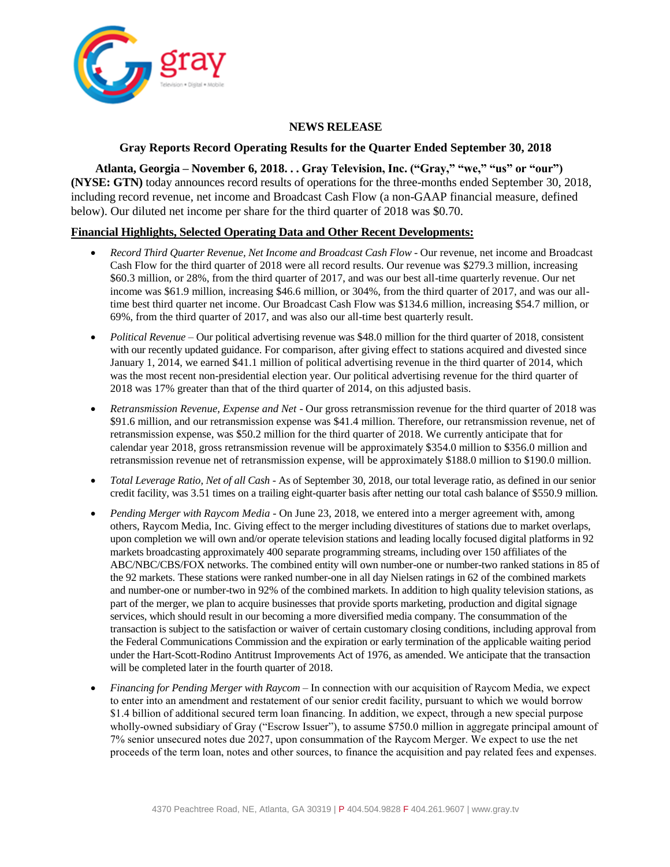

## **NEWS RELEASE**

## **Gray Reports Record Operating Results for the Quarter Ended September 30, 2018**

**Atlanta, Georgia – November 6, 2018. . . Gray Television, Inc. ("Gray," "we," "us" or "our") (NYSE: GTN)** today announces record results of operations for the three-months ended September 30, 2018, including record revenue, net income and Broadcast Cash Flow (a non-GAAP financial measure, defined below). Our diluted net income per share for the third quarter of 2018 was \$0.70.

## **Financial Highlights, Selected Operating Data and Other Recent Developments:**

- *Record Third Quarter Revenue, Net Income and Broadcast Cash Flow* Our revenue, net income and Broadcast Cash Flow for the third quarter of 2018 were all record results. Our revenue was \$279.3 million, increasing \$60.3 million, or 28%, from the third quarter of 2017, and was our best all-time quarterly revenue. Our net income was \$61.9 million, increasing \$46.6 million, or 304%, from the third quarter of 2017, and was our alltime best third quarter net income. Our Broadcast Cash Flow was \$134.6 million, increasing \$54.7 million, or 69%, from the third quarter of 2017, and was also our all-time best quarterly result.
- *Political Revenue* Our political advertising revenue was \$48.0 million for the third quarter of 2018, consistent with our recently updated guidance. For comparison, after giving effect to stations acquired and divested since January 1, 2014, we earned \$41.1 million of political advertising revenue in the third quarter of 2014, which was the most recent non-presidential election year. Our political advertising revenue for the third quarter of 2018 was 17% greater than that of the third quarter of 2014, on this adjusted basis.
- *Retransmission Revenue, Expense and Net*  Our gross retransmission revenue for the third quarter of 2018 was \$91.6 million, and our retransmission expense was \$41.4 million. Therefore, our retransmission revenue, net of retransmission expense, was \$50.2 million for the third quarter of 2018. We currently anticipate that for calendar year 2018, gross retransmission revenue will be approximately \$354.0 million to \$356.0 million and retransmission revenue net of retransmission expense, will be approximately \$188.0 million to \$190.0 million.
- *Total Leverage Ratio, Net of all Cash* As of September 30, 2018, our total leverage ratio, as defined in our senior credit facility, was 3.51 times on a trailing eight-quarter basis after netting our total cash balance of \$550.9 million*.*
- *Pending Merger with Raycom Media*  On June 23, 2018, we entered into a merger agreement with, among others, Raycom Media, Inc. Giving effect to the merger including divestitures of stations due to market overlaps, upon completion we will own and/or operate television stations and leading locally focused digital platforms in 92 markets broadcasting approximately 400 separate programming streams, including over 150 affiliates of the ABC/NBC/CBS/FOX networks. The combined entity will own number-one or number-two ranked stations in 85 of the 92 markets. These stations were ranked number-one in all day Nielsen ratings in 62 of the combined markets and number-one or number-two in 92% of the combined markets. In addition to high quality television stations, as part of the merger, we plan to acquire businesses that provide sports marketing, production and digital signage services, which should result in our becoming a more diversified media company. The consummation of the transaction is subject to the satisfaction or waiver of certain customary closing conditions, including approval from the Federal Communications Commission and the expiration or early termination of the applicable waiting period under the Hart-Scott-Rodino Antitrust Improvements Act of 1976, as amended. We anticipate that the transaction will be completed later in the fourth quarter of 2018.
- *Financing for Pending Merger with Raycom* In connection with our acquisition of Raycom Media, we expect to enter into an amendment and restatement of our senior credit facility, pursuant to which we would borrow \$1.4 billion of additional secured term loan financing. In addition, we expect, through a new special purpose wholly-owned subsidiary of Gray ("Escrow Issuer"), to assume \$750.0 million in aggregate principal amount of 7% senior unsecured notes due 2027, upon consummation of the Raycom Merger. We expect to use the net proceeds of the term loan, notes and other sources, to finance the acquisition and pay related fees and expenses.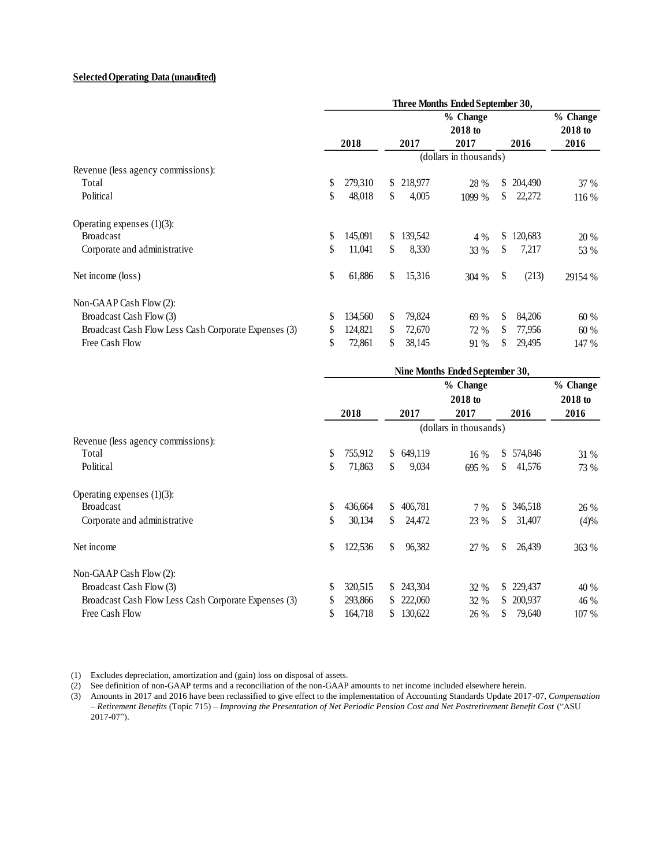### **Selected Operating Data (unaudited)**

|                                                      | Three Months Ended September 30, |         |     |         |                        |    |         |                     |
|------------------------------------------------------|----------------------------------|---------|-----|---------|------------------------|----|---------|---------------------|
|                                                      |                                  |         |     |         | % Change<br>2018 to    |    |         | % Change<br>2018 to |
|                                                      |                                  | 2018    |     | 2017    | 2017                   |    | 2016    | 2016                |
|                                                      |                                  |         |     |         | (dollars in thousands) |    |         |                     |
| Revenue (less agency commissions):                   |                                  |         |     |         |                        |    |         |                     |
| Total                                                | \$                               | 279,310 | S.  | 218,977 | 28 %                   | S. | 204,490 | 37 %                |
| Political                                            | \$                               | 48,018  | \$  | 4,005   | 1099 %                 | S. | 22,272  | 116 %               |
| Operating expenses $(1)(3)$ :                        |                                  |         |     |         |                        |    |         |                     |
| <b>Broadcast</b>                                     | \$                               | 145,091 | S.  | 139,542 | 4 %                    | \$ | 120,683 | 20 %                |
| Corporate and administrative                         | \$                               | 11,041  | \$. | 8,330   | 33 %                   | \$ | 7,217   | 53 %                |
| Net income (loss)                                    | \$                               | 61,886  | \$  | 15,316  | 304 %                  | \$ | (213)   | 29154 %             |
| Non-GAAP Cash Flow (2):                              |                                  |         |     |         |                        |    |         |                     |
| Broadcast Cash Flow (3)                              | S                                | 134,560 | S.  | 79,824  | 69 %                   | S  | 84,206  | 60 %                |
| Broadcast Cash Flow Less Cash Corporate Expenses (3) | S                                | 124,821 | S.  | 72,670  | 72 %                   | S. | 77,956  | 60 %                |
| Free Cash Flow                                       | \$                               | 72,861  | S.  | 38,145  | 91 %                   | S. | 29,495  | 147 %               |

|                                                      | Nine Months Ended September 30, |         |     |         |                        |    |            |          |
|------------------------------------------------------|---------------------------------|---------|-----|---------|------------------------|----|------------|----------|
|                                                      |                                 |         |     |         | % Change               |    |            | % Change |
|                                                      |                                 |         |     |         | 2018 to                |    |            | 2018 to  |
|                                                      |                                 | 2018    |     | 2017    | 2017                   |    | 2016       | 2016     |
|                                                      |                                 |         |     |         | (dollars in thousands) |    |            |          |
| Revenue (less agency commissions):                   |                                 |         |     |         |                        |    |            |          |
| Total                                                | \$                              | 755,912 | S.  | 649,119 | 16 %                   | S. | 574,846    | 31 %     |
| Political                                            | \$                              | 71,863  | \$  | 9,034   | 695 %                  | \$ | 41,576     | 73 %     |
| Operating expenses $(1)(3)$ :                        |                                 |         |     |         |                        |    |            |          |
| <b>Broadcast</b>                                     | \$                              | 436,664 | \$  | 406,781 | $7\%$                  | S. | 346,518    | 26 %     |
| Corporate and administrative                         | \$                              | 30,134  | \$. | 24,472  | 23 %                   | \$ | 31,407     | (4)%     |
| Net income                                           | \$                              | 122,536 | \$  | 96,382  | 27 %                   | \$ | 26,439     | 363 %    |
| Non-GAAP Cash Flow (2):                              |                                 |         |     |         |                        |    |            |          |
| Broadcast Cash Flow (3)                              | S                               | 320,515 | S.  | 243,304 | 32 %                   |    | \$ 229,437 | 40 %     |
| Broadcast Cash Flow Less Cash Corporate Expenses (3) | S                               | 293,866 | S.  | 222,060 | 32 %                   | S. | 200,937    | 46 %     |
| Free Cash Flow                                       | \$.                             | 164,718 | S.  | 130,622 | 26 %                   | S. | 79,640     | 107 %    |

(1) Excludes depreciation, amortization and (gain) loss on disposal of assets.

(2) See definition of non-GAAP terms and a reconciliation of the non-GAAP amounts to net income included elsewhere herein.

(3) Amounts in 2017 and 2016 have been reclassified to give effect to the implementation of Accounting Standards Update 2017-07, *Compensation – Retirement Benefits* (Topic 715) – *Improving the Presentation of Net Periodic Pension Cost and Net Postretirement Benefit Cost* ("ASU 2017-07").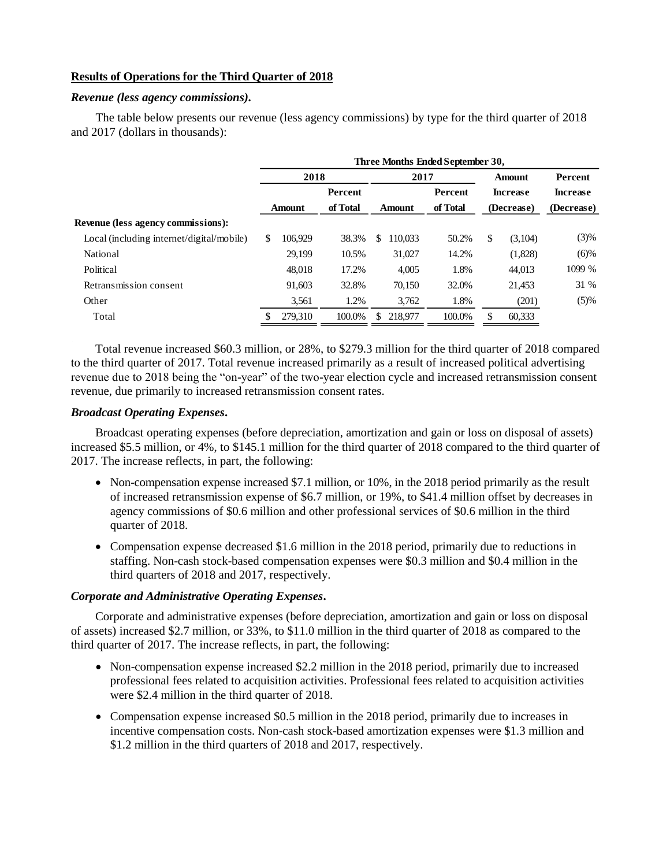## **Results of Operations for the Third Quarter of 2018**

### *Revenue (less agency commissions).*

The table below presents our revenue (less agency commissions) by type for the third quarter of 2018 and 2017 (dollars in thousands):

|                                           | Three Months Ended September 30,     |         |        |        |         |                 |               |                 |            |  |
|-------------------------------------------|--------------------------------------|---------|--------|--------|---------|-----------------|---------------|-----------------|------------|--|
|                                           |                                      | 2018    |        | 2017   |         |                 | <b>Amount</b> |                 | Percent    |  |
|                                           | Percent<br>of Total<br><b>Amount</b> |         |        |        | Percent | <b>Increase</b> |               | <b>Increase</b> |            |  |
|                                           |                                      |         |        | Amount |         | of Total        | (Decrease)    |                 | (Decrease) |  |
| <b>Revenue (less agency commissions):</b> |                                      |         |        |        |         |                 |               |                 |            |  |
| Local (including internet/digital/mobile) | S                                    | 106.929 | 38.3%  | \$     | 110.033 | 50.2%           | \$            | (3,104)         | (3)%       |  |
| National                                  |                                      | 29,199  | 10.5%  |        | 31,027  | 14.2%           |               | (1,828)         | $(6)\%$    |  |
| Political                                 |                                      | 48.018  | 17.2%  |        | 4,005   | 1.8%            |               | 44,013          | 1099 %     |  |
| Retransmission consent                    |                                      | 91.603  | 32.8%  |        | 70.150  | 32.0%           |               | 21.453          | 31 %       |  |
| Other                                     |                                      | 3,561   | 1.2%   |        | 3,762   | 1.8%            |               | (201)           | (5)%       |  |
| Total                                     |                                      | 279,310 | 100.0% | S      | 218,977 | 100.0%          |               | 60,333          |            |  |
|                                           |                                      |         |        |        |         |                 |               |                 |            |  |

Total revenue increased \$60.3 million, or 28%, to \$279.3 million for the third quarter of 2018 compared to the third quarter of 2017. Total revenue increased primarily as a result of increased political advertising revenue due to 2018 being the "on-year" of the two-year election cycle and increased retransmission consent revenue, due primarily to increased retransmission consent rates.

## *Broadcast Operating Expenses***.**

Broadcast operating expenses (before depreciation, amortization and gain or loss on disposal of assets) increased \$5.5 million, or 4%, to \$145.1 million for the third quarter of 2018 compared to the third quarter of 2017. The increase reflects, in part, the following:

- Non-compensation expense increased \$7.1 million, or 10%, in the 2018 period primarily as the result of increased retransmission expense of \$6.7 million, or 19%, to \$41.4 million offset by decreases in agency commissions of \$0.6 million and other professional services of \$0.6 million in the third quarter of 2018.
- Compensation expense decreased \$1.6 million in the 2018 period, primarily due to reductions in staffing. Non-cash stock-based compensation expenses were \$0.3 million and \$0.4 million in the third quarters of 2018 and 2017, respectively.

## *Corporate and Administrative Operating Expenses***.**

Corporate and administrative expenses (before depreciation, amortization and gain or loss on disposal of assets) increased \$2.7 million, or 33%, to \$11.0 million in the third quarter of 2018 as compared to the third quarter of 2017. The increase reflects, in part, the following:

- Non-compensation expense increased \$2.2 million in the 2018 period, primarily due to increased professional fees related to acquisition activities. Professional fees related to acquisition activities were \$2.4 million in the third quarter of 2018.
- Compensation expense increased \$0.5 million in the 2018 period, primarily due to increases in incentive compensation costs. Non-cash stock-based amortization expenses were \$1.3 million and \$1.2 million in the third quarters of 2018 and 2017, respectively.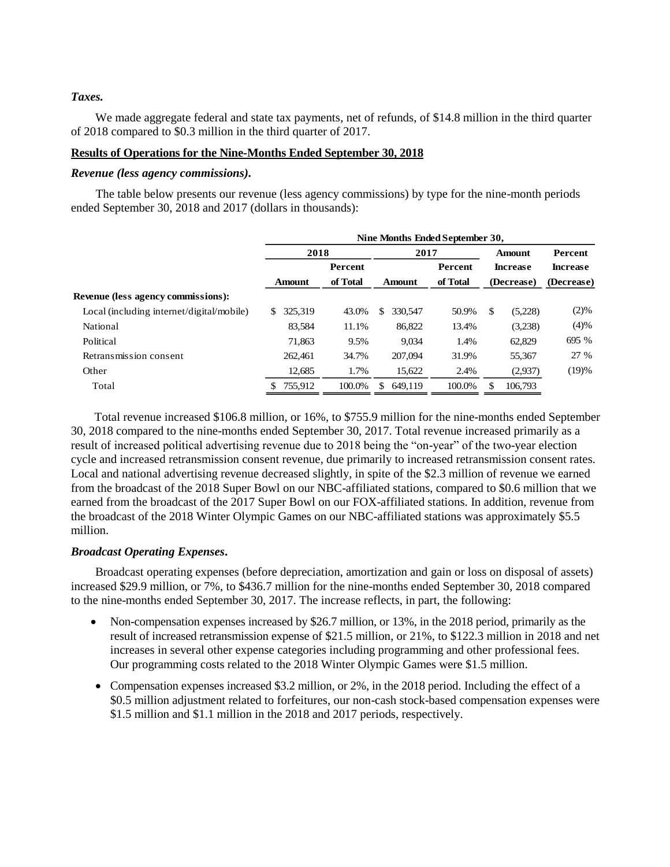## *Taxes.*

We made aggregate federal and state tax payments, net of refunds, of \$14.8 million in the third quarter of 2018 compared to \$0.3 million in the third quarter of 2017.

## **Results of Operations for the Nine-Months Ended September 30, 2018**

### *Revenue (less agency commissions).*

The table below presents our revenue (less agency commissions) by type for the nine-month periods ended September 30, 2018 and 2017 (dollars in thousands):

|                                           | Nine Months Ended September 30, |          |                    |         |                                                |         |                 |  |  |
|-------------------------------------------|---------------------------------|----------|--------------------|---------|------------------------------------------------|---------|-----------------|--|--|
|                                           | 2018                            |          | 2017               |         | <b>Amount</b><br><b>Increase</b><br>(Decrease) |         | <b>Percent</b>  |  |  |
|                                           | <b>Percent</b>                  |          |                    | Percent |                                                |         | <b>Increase</b> |  |  |
|                                           | Amount                          | of Total | of Total<br>Amount |         |                                                |         | (Decrease)      |  |  |
| Revenue (less agency commissions):        |                                 |          |                    |         |                                                |         |                 |  |  |
| Local (including internet/digital/mobile) | 325.319<br>\$.                  | 43.0%    | 330,547<br>\$.     | 50.9%   | \$                                             | (5,228) | (2)%            |  |  |
| National                                  | 83,584                          | 11.1%    | 86,822             | 13.4%   |                                                | (3,238) | (4)%            |  |  |
| Political                                 | 71.863                          | 9.5%     | 9,034              | 1.4%    |                                                | 62,829  | 695 %           |  |  |
| Retransmission consent                    | 262,461                         | 34.7%    | 207,094            | 31.9%   |                                                | 55,367  | 27 %            |  |  |
| Other                                     | 12,685                          | 1.7%     | 15,622             | 2.4%    |                                                | (2,937) | (19)%           |  |  |
| Total                                     | 755.912<br>S.                   | 100.0%   | 649.119<br>S.      | 100.0%  | S                                              | 106,793 |                 |  |  |

Total revenue increased \$106.8 million, or 16%, to \$755.9 million for the nine-months ended September 30, 2018 compared to the nine-months ended September 30, 2017. Total revenue increased primarily as a result of increased political advertising revenue due to 2018 being the "on-year" of the two-year election cycle and increased retransmission consent revenue, due primarily to increased retransmission consent rates. Local and national advertising revenue decreased slightly, in spite of the \$2.3 million of revenue we earned from the broadcast of the 2018 Super Bowl on our NBC-affiliated stations, compared to \$0.6 million that we earned from the broadcast of the 2017 Super Bowl on our FOX-affiliated stations. In addition, revenue from the broadcast of the 2018 Winter Olympic Games on our NBC-affiliated stations was approximately \$5.5 million.

## *Broadcast Operating Expenses***.**

Broadcast operating expenses (before depreciation, amortization and gain or loss on disposal of assets) increased \$29.9 million, or 7%, to \$436.7 million for the nine-months ended September 30, 2018 compared to the nine-months ended September 30, 2017. The increase reflects, in part, the following:

- Non-compensation expenses increased by \$26.7 million, or 13%, in the 2018 period, primarily as the result of increased retransmission expense of \$21.5 million, or 21%, to \$122.3 million in 2018 and net increases in several other expense categories including programming and other professional fees. Our programming costs related to the 2018 Winter Olympic Games were \$1.5 million.
- Compensation expenses increased \$3.2 million, or 2%, in the 2018 period. Including the effect of a \$0.5 million adjustment related to forfeitures, our non-cash stock-based compensation expenses were \$1.5 million and \$1.1 million in the 2018 and 2017 periods, respectively.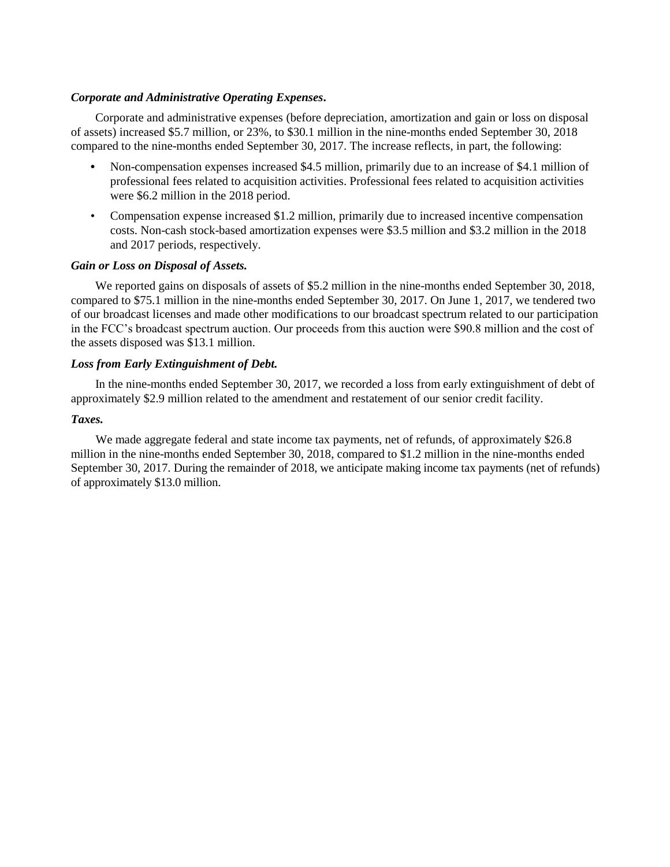### *Corporate and Administrative Operating Expenses***.**

Corporate and administrative expenses (before depreciation, amortization and gain or loss on disposal of assets) increased \$5.7 million, or 23%, to \$30.1 million in the nine-months ended September 30, 2018 compared to the nine-months ended September 30, 2017. The increase reflects, in part, the following:

- **•** Non-compensation expenses increased \$4.5 million, primarily due to an increase of \$4.1 million of professional fees related to acquisition activities. Professional fees related to acquisition activities were \$6.2 million in the 2018 period.
- Compensation expense increased \$1.2 million, primarily due to increased incentive compensation costs. Non-cash stock-based amortization expenses were \$3.5 million and \$3.2 million in the 2018 and 2017 periods, respectively.

### *Gain or Loss on Disposal of Assets.*

We reported gains on disposals of assets of \$5.2 million in the nine-months ended September 30, 2018, compared to \$75.1 million in the nine-months ended September 30, 2017. On June 1, 2017, we tendered two of our broadcast licenses and made other modifications to our broadcast spectrum related to our participation in the FCC's broadcast spectrum auction. Our proceeds from this auction were \$90.8 million and the cost of the assets disposed was \$13.1 million.

### *Loss from Early Extinguishment of Debt.*

In the nine-months ended September 30, 2017, we recorded a loss from early extinguishment of debt of approximately \$2.9 million related to the amendment and restatement of our senior credit facility.

### *Taxes.*

We made aggregate federal and state income tax payments, net of refunds, of approximately \$26.8 million in the nine-months ended September 30, 2018, compared to \$1.2 million in the nine-months ended September 30, 2017. During the remainder of 2018, we anticipate making income tax payments (net of refunds) of approximately \$13.0 million.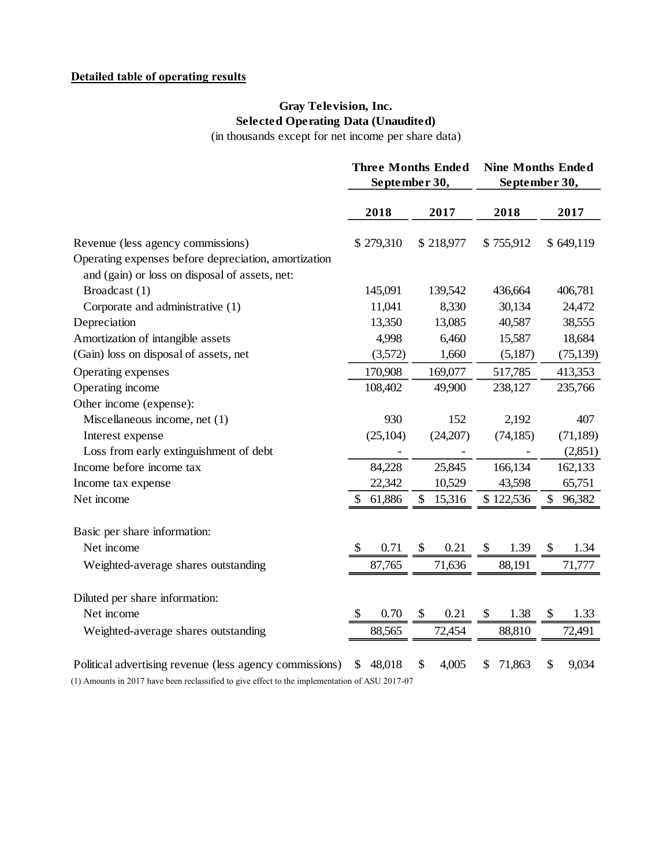# **Detailed table of operating results**

# **Gray Television, Inc. Selected Operating Data (Unaudited)**

(in thousands except for net income per share data)

|                                                                                                                                                           |              | <b>Three Months Ended</b><br>September 30, | <b>Nine Months Ended</b><br>September 30, |              |  |  |
|-----------------------------------------------------------------------------------------------------------------------------------------------------------|--------------|--------------------------------------------|-------------------------------------------|--------------|--|--|
|                                                                                                                                                           | 2018         | 2017                                       | 2018                                      | 2017         |  |  |
| Revenue (less agency commissions)                                                                                                                         | \$279,310    | \$218,977                                  | \$755,912                                 | \$649,119    |  |  |
| Operating expenses before depreciation, amortization<br>and (gain) or loss on disposal of assets, net:                                                    |              |                                            |                                           |              |  |  |
| Broadcast (1)                                                                                                                                             | 145,091      | 139,542                                    | 436,664                                   | 406,781      |  |  |
| Corporate and administrative (1)                                                                                                                          | 11,041       | 8,330                                      | 30,134                                    | 24,472       |  |  |
| Depreciation                                                                                                                                              | 13,350       | 13,085                                     | 40,587                                    | 38,555       |  |  |
| Amortization of intangible assets                                                                                                                         | 4,998        | 6,460                                      | 15,587                                    | 18,684       |  |  |
| (Gain) loss on disposal of assets, net                                                                                                                    | (3,572)      | 1,660                                      | (5,187)                                   | (75, 139)    |  |  |
| Operating expenses                                                                                                                                        | 170,908      | 169,077                                    | 517,785                                   | 413,353      |  |  |
| Operating income                                                                                                                                          | 108,402      | 49,900                                     | 238,127                                   | 235,766      |  |  |
| Other income (expense):                                                                                                                                   |              |                                            |                                           |              |  |  |
| Miscellaneous income, net (1)                                                                                                                             | 930          | 152                                        | 2,192                                     | 407          |  |  |
| Interest expense                                                                                                                                          | (25, 104)    | (24,207)                                   | (74, 185)                                 | (71, 189)    |  |  |
| Loss from early extinguishment of debt                                                                                                                    |              |                                            |                                           | (2,851)      |  |  |
| Income before income tax                                                                                                                                  | 84,228       | 25,845                                     | 166,134                                   | 162,133      |  |  |
| Income tax expense                                                                                                                                        | 22,342       | 10,529                                     | 43,598                                    | 65,751       |  |  |
| Net income                                                                                                                                                | 61,886<br>\$ | 15,316<br>\$                               | \$122,536                                 | 96,382<br>\$ |  |  |
| Basic per share information:                                                                                                                              |              |                                            |                                           |              |  |  |
| Net income                                                                                                                                                | \$<br>0.71   | 0.21<br>\$                                 | \$<br>1.39                                | 1.34<br>\$   |  |  |
| Weighted-average shares outstanding                                                                                                                       | 87,765       | 71,636                                     | 88,191                                    | 71,777       |  |  |
| Diluted per share information:                                                                                                                            |              |                                            |                                           |              |  |  |
| Net income                                                                                                                                                | 0.70<br>S    | \$<br>0.21                                 | \$<br>1.38                                | \$<br>1.33   |  |  |
| Weighted-average shares outstanding                                                                                                                       | 88,565       | 72,454                                     | 88,810                                    | 72,491       |  |  |
| Political advertising revenue (less agency commissions)<br>(1) Amounts in 2017 have been reclassified to give effect to the implementation of ASU 2017-07 | 48,018<br>\$ | 4,005<br>\$                                | 71,863<br>\$                              | \$<br>9,034  |  |  |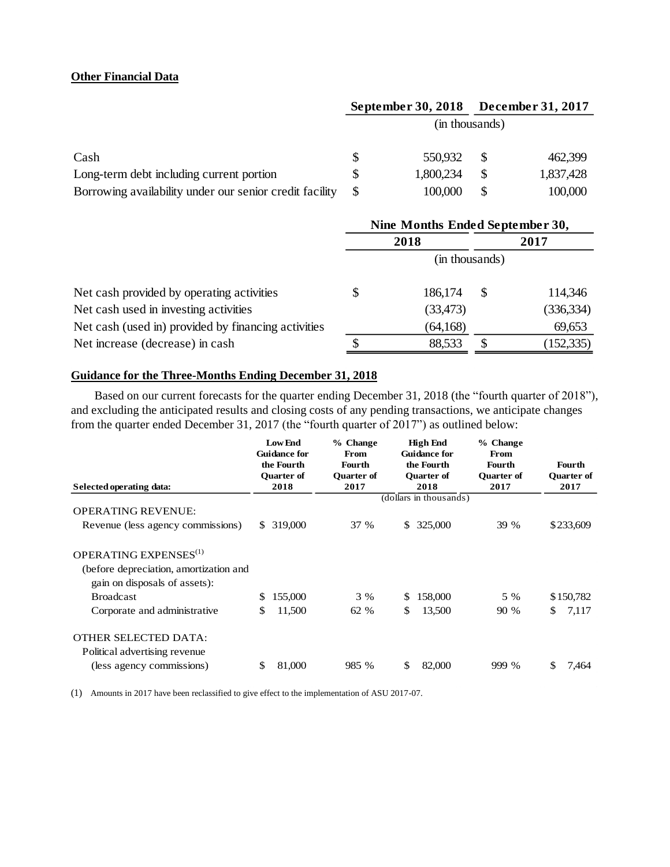## **Other Financial Data**

|                                                         |                | <b>September 30, 2018</b> |  | <b>December 31, 2017</b> |  |  |
|---------------------------------------------------------|----------------|---------------------------|--|--------------------------|--|--|
|                                                         | (in thousands) |                           |  |                          |  |  |
| Cash                                                    |                | 550,932                   |  | 462,399                  |  |  |
| Long-term debt including current portion                |                | 1,800,234                 |  | 1,837,428                |  |  |
| Borrowing availability under our senior credit facility |                | 100,000                   |  | 100,000                  |  |  |

|                                                     | Nine Months Ended September 30, |                |      |            |  |
|-----------------------------------------------------|---------------------------------|----------------|------|------------|--|
|                                                     | 2018                            |                | 2017 |            |  |
|                                                     |                                 | (in thousands) |      |            |  |
| Net cash provided by operating activities           | \$                              | 186,174        | \$.  | 114,346    |  |
| Net cash used in investing activities               |                                 | (33, 473)      |      | (336, 334) |  |
| Net cash (used in) provided by financing activities |                                 | (64, 168)      |      | 69,653     |  |
| Net increase (decrease) in cash                     |                                 | 88,533         |      | (152, 335) |  |

## **Guidance for the Three-Months Ending December 31, 2018**

Based on our current forecasts for the quarter ending December 31, 2018 (the "fourth quarter of 2018"), and excluding the anticipated results and closing costs of any pending transactions, we anticipate changes from the quarter ended December 31, 2017 (the "fourth quarter of 2017") as outlined below:

|                                                                                                              | <b>Low End</b><br><b>Guidance for</b><br>the Fourth | % Change<br>From<br><b>Fourth</b> | <b>High End</b><br><b>Guidance for</b><br>the Fourth | % Change<br>From<br>Fourth | <b>Fourth</b>             |
|--------------------------------------------------------------------------------------------------------------|-----------------------------------------------------|-----------------------------------|------------------------------------------------------|----------------------------|---------------------------|
| Selected operating data:                                                                                     | <b>Quarter of</b><br>2018                           | <b>Ouarter of</b><br>2017         | <b>Ouarter of</b><br>2018                            | <b>Ouarter of</b><br>2017  | <b>Ouarter of</b><br>2017 |
|                                                                                                              |                                                     |                                   | (dollars in thousands)                               |                            |                           |
| <b>OPERATING REVENUE:</b>                                                                                    |                                                     |                                   |                                                      |                            |                           |
| Revenue (less agency commissions)                                                                            | 319,000<br>S.                                       | 37 %                              | 325,000<br>\$                                        | 39 %                       | \$233,609                 |
| OPERATING EXPENSES <sup>(1)</sup><br>(before depreciation, amortization and<br>gain on disposals of assets): |                                                     |                                   |                                                      |                            |                           |
| <b>Broadcast</b>                                                                                             | 155,000<br>S                                        | 3 %                               | 158,000<br>S                                         | 5 %                        | \$150,782                 |
| Corporate and administrative                                                                                 | \$<br>11,500                                        | 62 %                              | 13,500<br>\$                                         | 90 %                       | 7,117<br>S.               |
| <b>OTHER SELECTED DATA:</b><br>Political advertising revenue                                                 |                                                     |                                   |                                                      |                            |                           |
| (less agency commissions)                                                                                    | \$<br>81,000                                        | 985 %                             | $\mathbb{S}$<br>82,000                               | 999 %                      | \$<br>7,464               |

(1) Amounts in 2017 have been reclassified to give effect to the implementation of ASU 2017-07.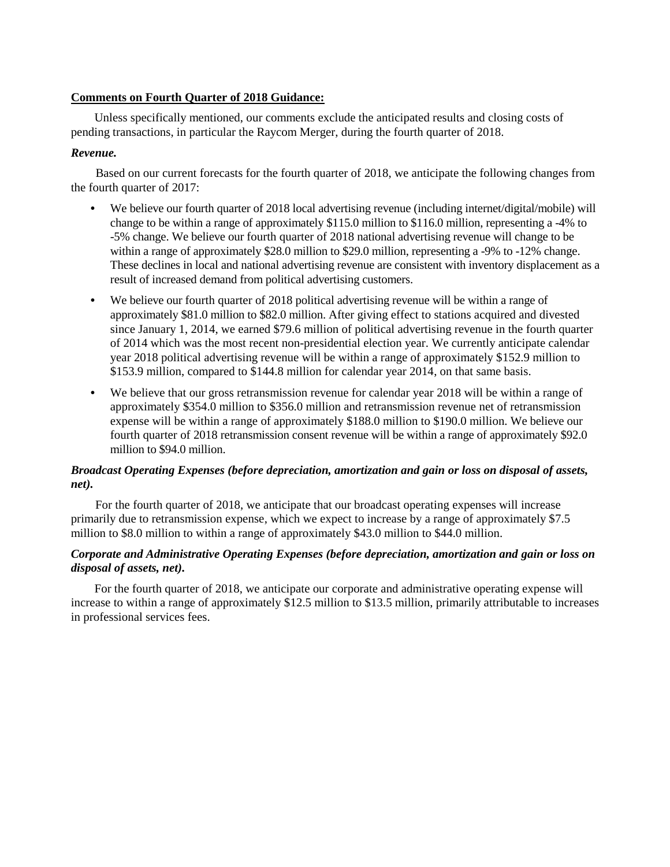## **Comments on Fourth Quarter of 2018 Guidance:**

Unless specifically mentioned, our comments exclude the anticipated results and closing costs of pending transactions, in particular the Raycom Merger, during the fourth quarter of 2018.

## *Revenue.*

Based on our current forecasts for the fourth quarter of 2018, we anticipate the following changes from the fourth quarter of 2017:

- **•** We believe our fourth quarter of 2018 local advertising revenue (including internet/digital/mobile) will change to be within a range of approximately \$115.0 million to \$116.0 million, representing a -4% to -5% change. We believe our fourth quarter of 2018 national advertising revenue will change to be within a range of approximately \$28.0 million to \$29.0 million, representing a -9% to -12% change. These declines in local and national advertising revenue are consistent with inventory displacement as a result of increased demand from political advertising customers.
- **•** We believe our fourth quarter of 2018 political advertising revenue will be within a range of approximately \$81.0 million to \$82.0 million. After giving effect to stations acquired and divested since January 1, 2014, we earned \$79.6 million of political advertising revenue in the fourth quarter of 2014 which was the most recent non-presidential election year. We currently anticipate calendar year 2018 political advertising revenue will be within a range of approximately \$152.9 million to \$153.9 million, compared to \$144.8 million for calendar year 2014, on that same basis.
- We believe that our gross retransmission revenue for calendar year 2018 will be within a range of approximately \$354.0 million to \$356.0 million and retransmission revenue net of retransmission expense will be within a range of approximately \$188.0 million to \$190.0 million. We believe our fourth quarter of 2018 retransmission consent revenue will be within a range of approximately \$92.0 million to \$94.0 million.

## *Broadcast Operating Expenses (before depreciation, amortization and gain or loss on disposal of assets, net).*

For the fourth quarter of 2018, we anticipate that our broadcast operating expenses will increase primarily due to retransmission expense, which we expect to increase by a range of approximately \$7.5 million to \$8.0 million to within a range of approximately \$43.0 million to \$44.0 million.

## *Corporate and Administrative Operating Expenses (before depreciation, amortization and gain or loss on disposal of assets, net).*

For the fourth quarter of 2018, we anticipate our corporate and administrative operating expense will increase to within a range of approximately \$12.5 million to \$13.5 million, primarily attributable to increases in professional services fees.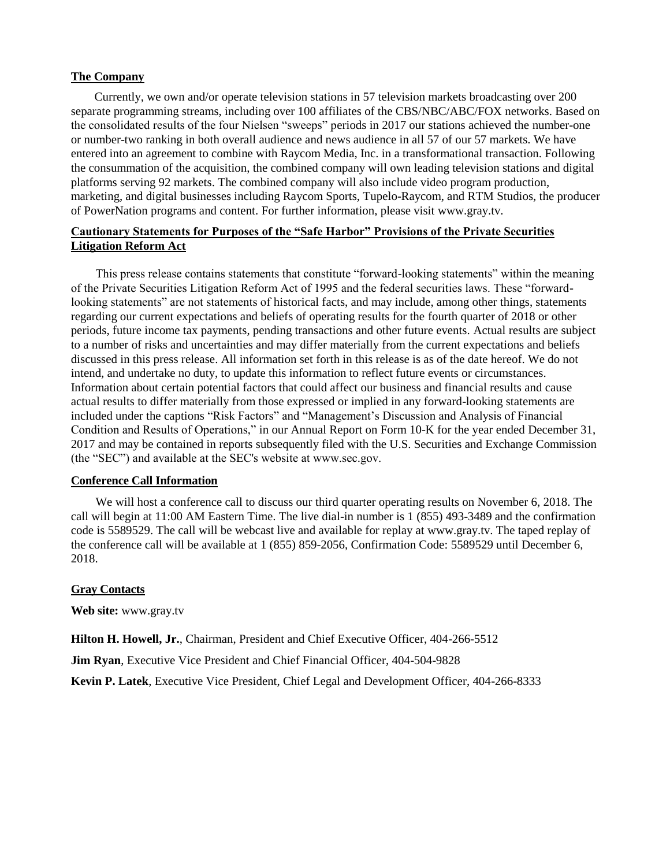### **The Company**

Currently, we own and/or operate television stations in 57 television markets broadcasting over 200 separate programming streams, including over 100 affiliates of the CBS/NBC/ABC/FOX networks. Based on the consolidated results of the four Nielsen "sweeps" periods in 2017 our stations achieved the number-one or number-two ranking in both overall audience and news audience in all 57 of our 57 markets. We have entered into an agreement to combine with Raycom Media, Inc. in a transformational transaction. Following the consummation of the acquisition, the combined company will own leading television stations and digital platforms serving 92 markets. The combined company will also include video program production, marketing, and digital businesses including Raycom Sports, Tupelo-Raycom, and RTM Studios, the producer of PowerNation programs and content. For further information, please visit www.gray.tv.

## **Cautionary Statements for Purposes of the "Safe Harbor" Provisions of the Private Securities Litigation Reform Act**

This press release contains statements that constitute "forward-looking statements" within the meaning of the Private Securities Litigation Reform Act of 1995 and the federal securities laws. These "forwardlooking statements" are not statements of historical facts, and may include, among other things, statements regarding our current expectations and beliefs of operating results for the fourth quarter of 2018 or other periods, future income tax payments, pending transactions and other future events. Actual results are subject to a number of risks and uncertainties and may differ materially from the current expectations and beliefs discussed in this press release. All information set forth in this release is as of the date hereof. We do not intend, and undertake no duty, to update this information to reflect future events or circumstances. Information about certain potential factors that could affect our business and financial results and cause actual results to differ materially from those expressed or implied in any forward-looking statements are included under the captions "Risk Factors" and "Management's Discussion and Analysis of Financial Condition and Results of Operations," in our Annual Report on Form 10-K for the year ended December 31, 2017 and may be contained in reports subsequently filed with the U.S. Securities and Exchange Commission (the "SEC") and available at the SEC's website at www.sec.gov.

## **Conference Call Information**

We will host a conference call to discuss our third quarter operating results on November 6, 2018. The call will begin at 11:00 AM Eastern Time. The live dial-in number is 1 (855) 493-3489 and the confirmation code is 5589529. The call will be webcast live and available for replay at www.gray.tv. The taped replay of the conference call will be available at 1 (855) 859-2056, Confirmation Code: 5589529 until December 6, 2018.

### **Gray Contacts**

**Web site:** www.gray.tv

**Hilton H. Howell, Jr.**, Chairman, President and Chief Executive Officer, 404-266-5512

**Jim Ryan**, Executive Vice President and Chief Financial Officer, 404-504-9828

**Kevin P. Latek**, Executive Vice President, Chief Legal and Development Officer, 404-266-8333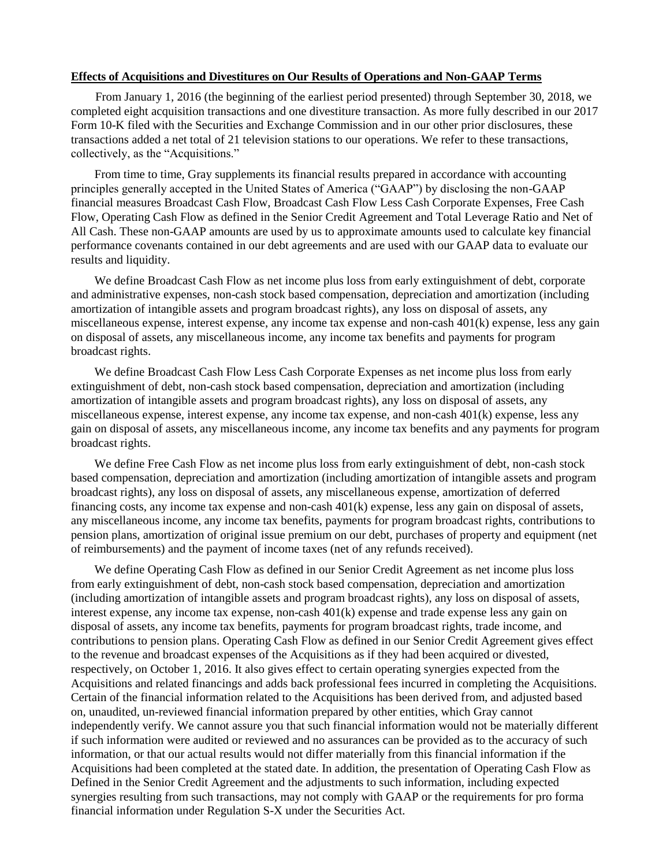### **Effects of Acquisitions and Divestitures on Our Results of Operations and Non-GAAP Terms**

From January 1, 2016 (the beginning of the earliest period presented) through September 30, 2018, we completed eight acquisition transactions and one divestiture transaction. As more fully described in our 2017 Form 10-K filed with the Securities and Exchange Commission and in our other prior disclosures, these transactions added a net total of 21 television stations to our operations. We refer to these transactions, collectively, as the "Acquisitions."

From time to time, Gray supplements its financial results prepared in accordance with accounting principles generally accepted in the United States of America ("GAAP") by disclosing the non-GAAP financial measures Broadcast Cash Flow, Broadcast Cash Flow Less Cash Corporate Expenses, Free Cash Flow, Operating Cash Flow as defined in the Senior Credit Agreement and Total Leverage Ratio and Net of All Cash. These non-GAAP amounts are used by us to approximate amounts used to calculate key financial performance covenants contained in our debt agreements and are used with our GAAP data to evaluate our results and liquidity.

We define Broadcast Cash Flow as net income plus loss from early extinguishment of debt, corporate and administrative expenses, non-cash stock based compensation, depreciation and amortization (including amortization of intangible assets and program broadcast rights), any loss on disposal of assets, any miscellaneous expense, interest expense, any income tax expense and non-cash 401(k) expense, less any gain on disposal of assets, any miscellaneous income, any income tax benefits and payments for program broadcast rights.

We define Broadcast Cash Flow Less Cash Corporate Expenses as net income plus loss from early extinguishment of debt, non-cash stock based compensation, depreciation and amortization (including amortization of intangible assets and program broadcast rights), any loss on disposal of assets, any miscellaneous expense, interest expense, any income tax expense, and non-cash 401(k) expense, less any gain on disposal of assets, any miscellaneous income, any income tax benefits and any payments for program broadcast rights.

We define Free Cash Flow as net income plus loss from early extinguishment of debt, non-cash stock based compensation, depreciation and amortization (including amortization of intangible assets and program broadcast rights), any loss on disposal of assets, any miscellaneous expense, amortization of deferred financing costs, any income tax expense and non-cash 401(k) expense, less any gain on disposal of assets, any miscellaneous income, any income tax benefits, payments for program broadcast rights, contributions to pension plans, amortization of original issue premium on our debt, purchases of property and equipment (net of reimbursements) and the payment of income taxes (net of any refunds received).

We define Operating Cash Flow as defined in our Senior Credit Agreement as net income plus loss from early extinguishment of debt, non-cash stock based compensation, depreciation and amortization (including amortization of intangible assets and program broadcast rights), any loss on disposal of assets, interest expense, any income tax expense, non-cash 401(k) expense and trade expense less any gain on disposal of assets, any income tax benefits, payments for program broadcast rights, trade income, and contributions to pension plans. Operating Cash Flow as defined in our Senior Credit Agreement gives effect to the revenue and broadcast expenses of the Acquisitions as if they had been acquired or divested, respectively, on October 1, 2016. It also gives effect to certain operating synergies expected from the Acquisitions and related financings and adds back professional fees incurred in completing the Acquisitions. Certain of the financial information related to the Acquisitions has been derived from, and adjusted based on, unaudited, un-reviewed financial information prepared by other entities, which Gray cannot independently verify. We cannot assure you that such financial information would not be materially different if such information were audited or reviewed and no assurances can be provided as to the accuracy of such information, or that our actual results would not differ materially from this financial information if the Acquisitions had been completed at the stated date. In addition, the presentation of Operating Cash Flow as Defined in the Senior Credit Agreement and the adjustments to such information, including expected synergies resulting from such transactions, may not comply with GAAP or the requirements for pro forma financial information under Regulation S-X under the Securities Act.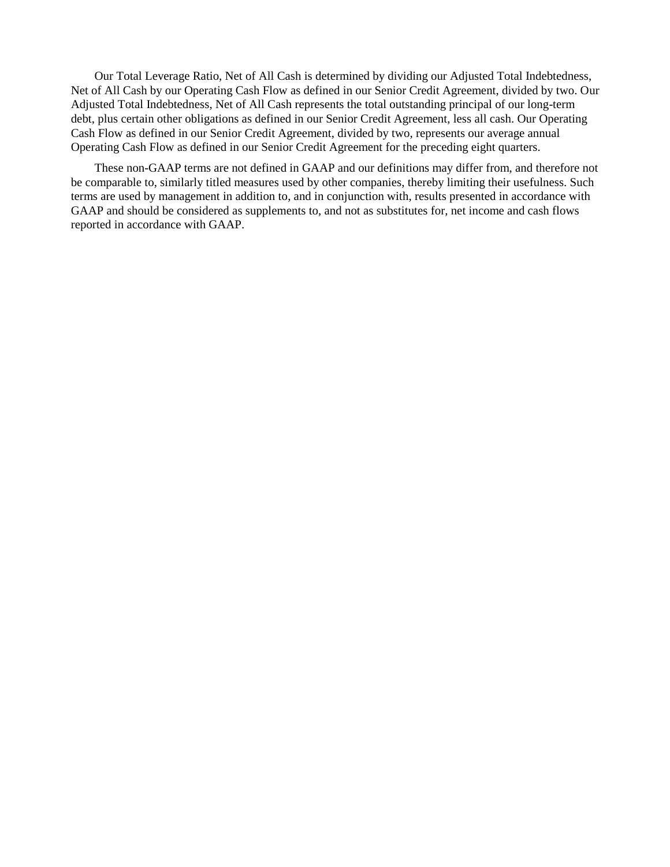Our Total Leverage Ratio, Net of All Cash is determined by dividing our Adjusted Total Indebtedness, Net of All Cash by our Operating Cash Flow as defined in our Senior Credit Agreement, divided by two. Our Adjusted Total Indebtedness, Net of All Cash represents the total outstanding principal of our long-term debt, plus certain other obligations as defined in our Senior Credit Agreement, less all cash. Our Operating Cash Flow as defined in our Senior Credit Agreement, divided by two, represents our average annual Operating Cash Flow as defined in our Senior Credit Agreement for the preceding eight quarters.

These non-GAAP terms are not defined in GAAP and our definitions may differ from, and therefore not be comparable to, similarly titled measures used by other companies, thereby limiting their usefulness. Such terms are used by management in addition to, and in conjunction with, results presented in accordance with GAAP and should be considered as supplements to, and not as substitutes for, net income and cash flows reported in accordance with GAAP.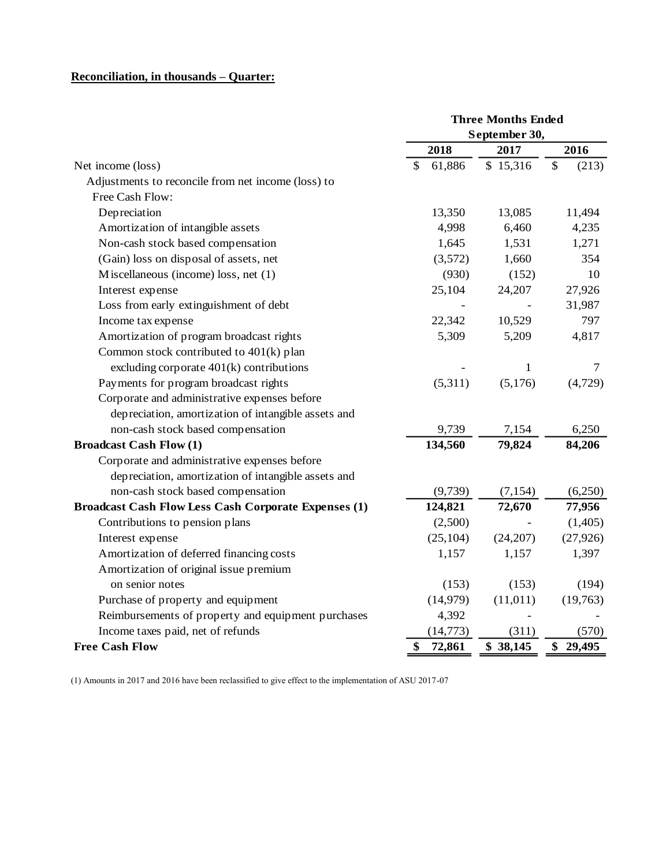## **Reconciliation, in thousands – Quarter:**

|                                                             | <b>Three Months Ended</b> |           |              |  |  |
|-------------------------------------------------------------|---------------------------|-----------|--------------|--|--|
|                                                             | September 30,             |           |              |  |  |
|                                                             | 2018                      | 2017      | 2016         |  |  |
| Net income (loss)                                           | 61,886<br>\$              | \$15,316  | \$<br>(213)  |  |  |
| Adjustments to reconcile from net income (loss) to          |                           |           |              |  |  |
| Free Cash Flow:                                             |                           |           |              |  |  |
| Depreciation                                                | 13,350                    | 13,085    | 11,494       |  |  |
| Amortization of intangible assets                           | 4,998                     | 6,460     | 4,235        |  |  |
| Non-cash stock based compensation                           | 1,645                     | 1,531     | 1,271        |  |  |
| (Gain) loss on disposal of assets, net                      | (3,572)                   | 1,660     | 354          |  |  |
| Miscellaneous (income) loss, net (1)                        | (930)                     | (152)     | 10           |  |  |
| Interest expense                                            | 25,104                    | 24,207    | 27,926       |  |  |
| Loss from early extinguishment of debt                      |                           |           | 31,987       |  |  |
| Income tax expense                                          | 22,342                    | 10,529    | 797          |  |  |
| Amortization of program broadcast rights                    | 5,309                     | 5,209     | 4,817        |  |  |
| Common stock contributed to 401(k) plan                     |                           |           |              |  |  |
| excluding corporate $401(k)$ contributions                  |                           | 1         | 7            |  |  |
| Payments for program broadcast rights                       | (5,311)                   | (5,176)   | (4,729)      |  |  |
| Corporate and administrative expenses before                |                           |           |              |  |  |
| depreciation, amortization of intangible assets and         |                           |           |              |  |  |
| non-cash stock based compensation                           | 9,739                     | 7,154     | 6,250        |  |  |
| <b>Broadcast Cash Flow (1)</b>                              | 134,560                   | 79,824    | 84,206       |  |  |
| Corporate and administrative expenses before                |                           |           |              |  |  |
| depreciation, amortization of intangible assets and         |                           |           |              |  |  |
| non-cash stock based compensation                           | (9,739)                   | (7, 154)  | (6,250)      |  |  |
| <b>Broadcast Cash Flow Less Cash Corporate Expenses (1)</b> | 124,821                   | 72,670    | 77,956       |  |  |
| Contributions to pension plans                              | (2,500)                   |           | (1,405)      |  |  |
| Interest expense                                            | (25, 104)                 | (24, 207) | (27, 926)    |  |  |
| Amortization of deferred financing costs                    | 1,157                     | 1,157     | 1,397        |  |  |
| Amortization of original issue premium                      |                           |           |              |  |  |
| on senior notes                                             | (153)                     | (153)     | (194)        |  |  |
| Purchase of property and equipment                          | (14, 979)                 | (11, 011) | (19,763)     |  |  |
| Reimbursements of property and equipment purchases          | 4,392                     |           |              |  |  |
| Income taxes paid, net of refunds                           | (14, 773)                 | (311)     | (570)        |  |  |
| <b>Free Cash Flow</b>                                       | \$<br>72,861              | \$38,145  | \$<br>29,495 |  |  |

 $\mathcal{L}(\mathbf{r})$  and  $\mathcal{L}(\mathbf{r})$  are  $\mathcal{L}(\mathbf{r})$  . In the  $\mathcal{L}(\mathbf{r})$ 

(1) Amounts in 2017 and 2016 have been reclassified to give effect to the implementation of ASU 2017-07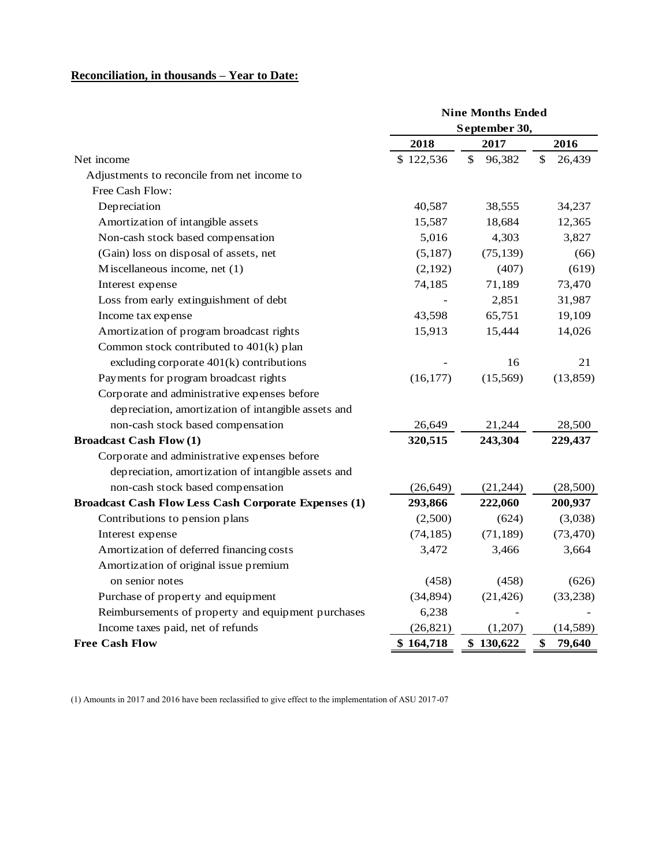# **Reconciliation, in thousands – Year to Date:**

|                                                             | <b>Nine Months Ended</b> |              |              |  |  |
|-------------------------------------------------------------|--------------------------|--------------|--------------|--|--|
|                                                             | September 30,            |              |              |  |  |
|                                                             | 2018                     | 2017         | 2016         |  |  |
| Net income                                                  | \$122,536                | \$<br>96,382 | \$<br>26,439 |  |  |
| Adjustments to reconcile from net income to                 |                          |              |              |  |  |
| Free Cash Flow:                                             |                          |              |              |  |  |
| Depreciation                                                | 40,587                   | 38,555       | 34,237       |  |  |
| Amortization of intangible assets                           | 15,587                   | 18,684       | 12,365       |  |  |
| Non-cash stock based compensation                           | 5,016                    | 4,303        | 3,827        |  |  |
| (Gain) loss on disposal of assets, net                      | (5,187)                  | (75, 139)    | (66)         |  |  |
| Miscellaneous income, net (1)                               | (2,192)                  | (407)        | (619)        |  |  |
| Interest expense                                            | 74,185                   | 71,189       | 73,470       |  |  |
| Loss from early extinguishment of debt                      |                          | 2,851        | 31,987       |  |  |
| Income tax expense                                          | 43,598                   | 65,751       | 19,109       |  |  |
| Amortization of program broadcast rights                    | 15,913                   | 15,444       | 14,026       |  |  |
| Common stock contributed to 401(k) plan                     |                          |              |              |  |  |
| excluding corporate $401(k)$ contributions                  |                          | 16           | 21           |  |  |
| Payments for program broadcast rights                       | (16, 177)                | (15, 569)    | (13, 859)    |  |  |
| Corporate and administrative expenses before                |                          |              |              |  |  |
| depreciation, amortization of intangible assets and         |                          |              |              |  |  |
| non-cash stock based compensation                           | 26,649                   | 21,244       | 28,500       |  |  |
| <b>Broadcast Cash Flow (1)</b>                              | 320,515                  | 243,304      | 229,437      |  |  |
| Corporate and administrative expenses before                |                          |              |              |  |  |
| depreciation, amortization of intangible assets and         |                          |              |              |  |  |
| non-cash stock based compensation                           | (26, 649)                | (21, 244)    | (28,500)     |  |  |
| <b>Broadcast Cash Flow Less Cash Corporate Expenses (1)</b> | 293,866                  | 222,060      | 200,937      |  |  |
| Contributions to pension plans                              | (2,500)                  | (624)        | (3,038)      |  |  |
| Interest expense                                            | (74, 185)                | (71, 189)    | (73, 470)    |  |  |
| Amortization of deferred financing costs                    | 3,472                    | 3,466        | 3,664        |  |  |
| Amortization of original issue premium                      |                          |              |              |  |  |
| on senior notes                                             | (458)                    | (458)        | (626)        |  |  |
| Purchase of property and equipment                          | (34, 894)                | (21, 426)    | (33,238)     |  |  |
| Reimbursements of property and equipment purchases          | 6,238                    |              |              |  |  |
| Income taxes paid, net of refunds                           | (26, 821)                | (1,207)      | (14, 589)    |  |  |
| <b>Free Cash Flow</b>                                       | \$164,718                | \$130,622    | \$<br>79,640 |  |  |

(1) Amounts in 2017 and 2016 have been reclassified to give effect to the implementation of ASU 2017-07